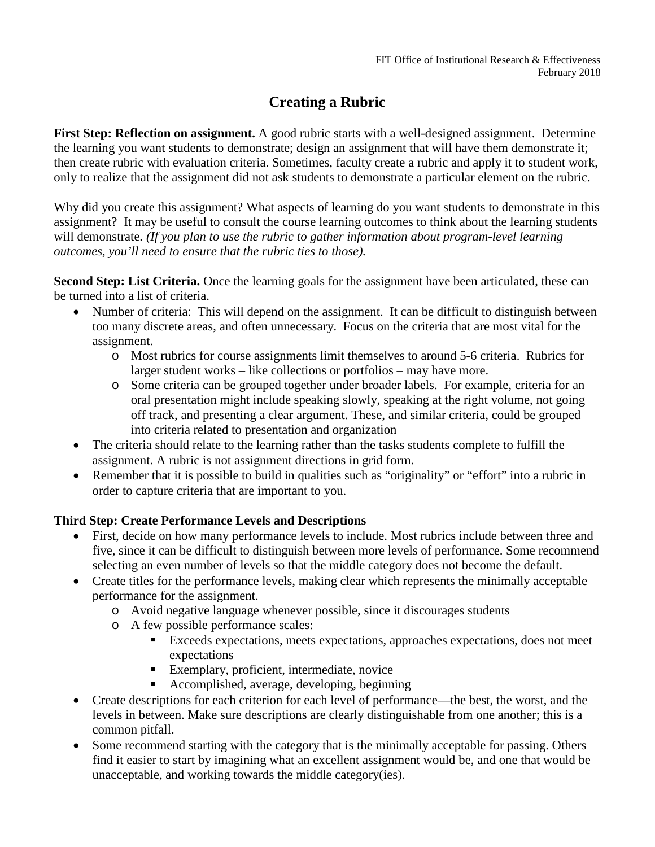# **Creating a Rubric**

**First Step: Reflection on assignment.** A good rubric starts with a well-designed assignment.Determine the learning you want students to demonstrate; design an assignment that will have them demonstrate it; then create rubric with evaluation criteria. Sometimes, faculty create a rubric and apply it to student work, only to realize that the assignment did not ask students to demonstrate a particular element on the rubric.

Why did you create this assignment? What aspects of learning do you want students to demonstrate in this assignment? It may be useful to consult the course learning outcomes to think about the learning students will demonstrate. *(If you plan to use the rubric to gather information about program-level learning outcomes, you'll need to ensure that the rubric ties to those).*

**Second Step: List Criteria.** Once the learning goals for the assignment have been articulated, these can be turned into a list of criteria.

- Number of criteria: This will depend on the assignment. It can be difficult to distinguish between too many discrete areas, and often unnecessary. Focus on the criteria that are most vital for the assignment.
	- o Most rubrics for course assignments limit themselves to around 5-6 criteria. Rubrics for larger student works – like collections or portfolios – may have more.
	- o Some criteria can be grouped together under broader labels. For example, criteria for an oral presentation might include speaking slowly, speaking at the right volume, not going off track, and presenting a clear argument. These, and similar criteria, could be grouped into criteria related to presentation and organization
- The criteria should relate to the learning rather than the tasks students complete to fulfill the assignment. A rubric is not assignment directions in grid form.
- Remember that it is possible to build in qualities such as "originality" or "effort" into a rubric in order to capture criteria that are important to you.

## **Third Step: Create Performance Levels and Descriptions**

- First, decide on how many performance levels to include. Most rubrics include between three and five, since it can be difficult to distinguish between more levels of performance. Some recommend selecting an even number of levels so that the middle category does not become the default.
- Create titles for the performance levels, making clear which represents the minimally acceptable performance for the assignment.
	- o Avoid negative language whenever possible, since it discourages students
	- o A few possible performance scales:
		- Exceeds expectations, meets expectations, approaches expectations, does not meet expectations
		- Exemplary, proficient, intermediate, novice
		- Accomplished, average, developing, beginning
- Create descriptions for each criterion for each level of performance—the best, the worst, and the levels in between. Make sure descriptions are clearly distinguishable from one another; this is a common pitfall.
- Some recommend starting with the category that is the minimally acceptable for passing. Others find it easier to start by imagining what an excellent assignment would be, and one that would be unacceptable, and working towards the middle category(ies).